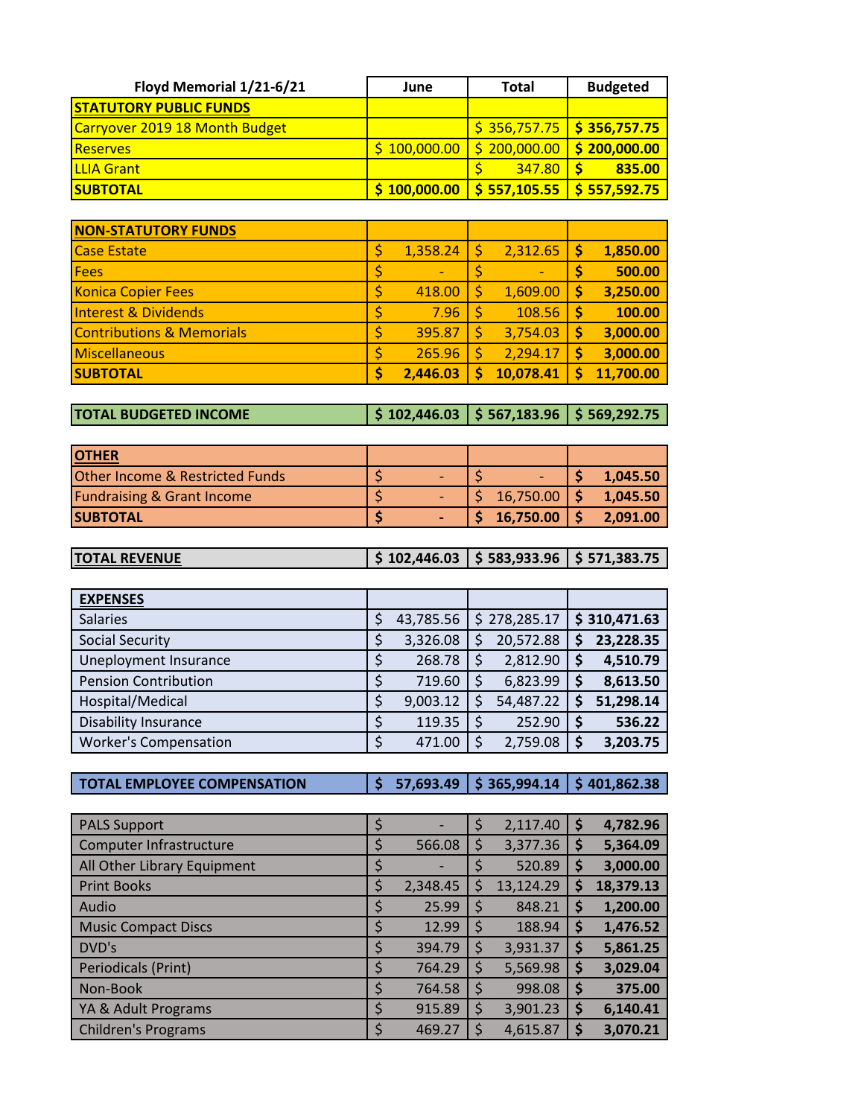| Floyd Memorial 1/21-6/21       | June | <b>Total</b>                                                               | <b>Budgeted</b> |
|--------------------------------|------|----------------------------------------------------------------------------|-----------------|
| <b>STATUTORY PUBLIC FUNDS</b>  |      |                                                                            |                 |
| Carryover 2019 18 Month Budget |      | $\frac{1}{5}$ 356,757.75   \$ 356,757.75                                   |                 |
| <b>Reserves</b>                |      | $\frac{1}{2}$ 100,000.00 $\frac{1}{2}$ 200,000.00 $\frac{1}{2}$ 200,000.00 |                 |
| <b>LLIA Grant</b>              |      | $347.80$ S                                                                 | 835.00          |
| <b>SUBTOTAL</b>                |      | $\frac{1}{2}$ 100,000.00 $\frac{1}{2}$ 557,105.55 $\frac{1}{2}$ 557,592.75 |                 |

| <b>NON-STATUTORY FUNDS</b>           |                                |           |   |           |
|--------------------------------------|--------------------------------|-----------|---|-----------|
| <b>Case Estate</b>                   | 1,358.24                       | 2,312.65  | S | 1,850.00  |
| Fees                                 | \$<br>$\overline{\phantom{0}}$ |           |   | 500.00    |
| <b>Konica Copier Fees</b>            | 418.00                         | 1,609.00  | S | 3,250.00  |
| <b>Interest &amp; Dividends</b>      | \$<br>7.96                     | 108.56    |   | 100.00    |
| <b>Contributions &amp; Memorials</b> | \$<br>395.87                   | 3,754.03  | S | 3,000.00  |
| <b>Miscellaneous</b>                 | 265.96                         | 2,294.17  | S | 3,000.00  |
| <b>SUBTOTAL</b>                      | \$<br>2,446.03                 | 10,078.41 |   | 11,700.00 |

**TOTAL BUDGETED INCOME \$ 102,446.03 \$ 567,183.96 \$ 569,292.75**

| <b>OTHER</b>                          |  |                  |          |
|---------------------------------------|--|------------------|----------|
| Other Income & Restricted Funds       |  |                  | 1,045.50 |
| <b>Fundraising &amp; Grant Income</b> |  |                  | 1,045.50 |
| <b>SUBTOTAL</b>                       |  | $$16,750.00$ $$$ | 2,091.00 |

| $\frac{1}{2}$ \$ 102,446.03 $\frac{1}{2}$ \$ 583,933.96 $\frac{1}{2}$ \$ 571,383.75<br><b>TOTAL REVENUE</b> |  |  |
|-------------------------------------------------------------------------------------------------------------|--|--|
|-------------------------------------------------------------------------------------------------------------|--|--|

| <b>EXPENSES</b>              |    |           |   |              |   |              |
|------------------------------|----|-----------|---|--------------|---|--------------|
| <b>Salaries</b>              |    | 43,785.56 |   | \$278,285.17 |   | \$310,471.63 |
| <b>Social Security</b>       | Ş  | 3,326.08  | S | 20,572.88    |   | 23,228.35    |
| <b>Uneployment Insurance</b> | \$ | 268.78    |   | 2,812.90     | S | 4,510.79     |
| <b>Pension Contribution</b>  | \$ | 719.60    |   | 6,823.99     |   | 8,613.50     |
| Hospital/Medical             | \$ | 9,003.12  |   | 54,487.22    |   | 51,298.14    |
| <b>Disability Insurance</b>  | \$ | 119.35    |   | 252.90       |   | 536.22       |
| <b>Worker's Compensation</b> | \$ | 471.00    |   | 2,759.08     | S | 3,203.75     |

**TOTAL EMPLOYEE COMPENSATION \$ 57,693.49 \$ 365,994.14 \$ 401,862.38**

| <b>PALS Support</b>         | \$<br>$\overline{\phantom{0}}$ | \$ | 2,117.40  | \$ | 4,782.96  |
|-----------------------------|--------------------------------|----|-----------|----|-----------|
| Computer Infrastructure     | \$<br>566.08                   | S  | 3,377.36  | Ş  | 5,364.09  |
| All Other Library Equipment | \$                             |    | 520.89    | \$ | 3,000.00  |
| <b>Print Books</b>          | \$<br>2,348.45                 | S  | 13,124.29 | S  | 18,379.13 |
| Audio                       | \$<br>25.99                    | Ś  | 848.21    | \$ | 1,200.00  |
| <b>Music Compact Discs</b>  | \$<br>12.99                    |    | 188.94    | Ş  | 1,476.52  |
| DVD's                       | \$<br>394.79                   | S  | 3,931.37  | Ş  | 5,861.25  |
| Periodicals (Print)         | \$<br>764.29                   | Ś  | 5,569.98  | \$ | 3,029.04  |
| Non-Book                    | \$<br>764.58                   |    | 998.08    | S  | 375.00    |
| YA & Adult Programs         | \$<br>915.89                   | \$ | 3,901.23  | S  | 6,140.41  |
| <b>Children's Programs</b>  | \$<br>469.27                   |    | 4,615.87  | S  | 3,070.21  |